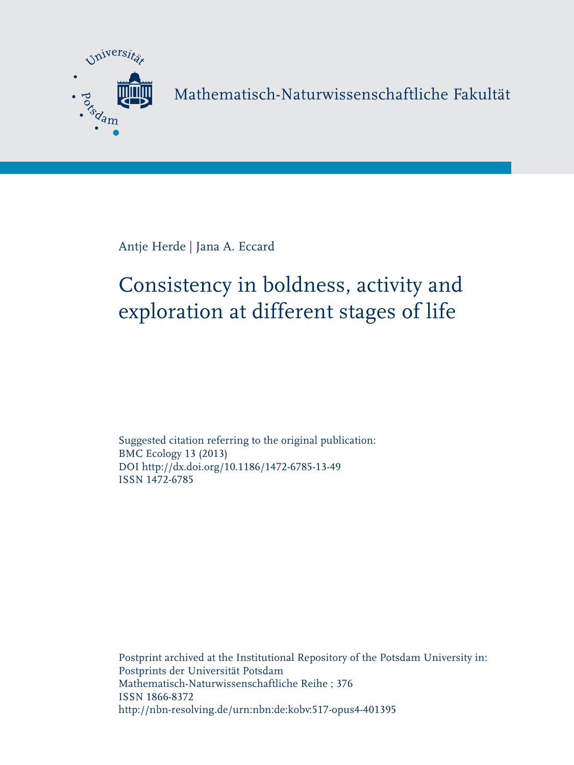

Mathematisch-Naturwissenschaftliche Fakultät

Antje Herde | Jana A. Eccard

# Consistency in boldness, activity and exploration at different stages of life

Suggested citation referring to the original publication: BMC Ecology 13 (2013) DOI http://dx.doi.org/10.1186/1472-6785-13-49 ISSN 1472-6785

Postprint archived at the Institutional Repository of the Potsdam University in: Postprints der Universität Potsdam Mathematisch-Naturwissenschaftliche Reihe ; 376 ISSN 1866-8372 http://nbn-resolving.de/urn:nbn:de:kobv:517-opus4-401395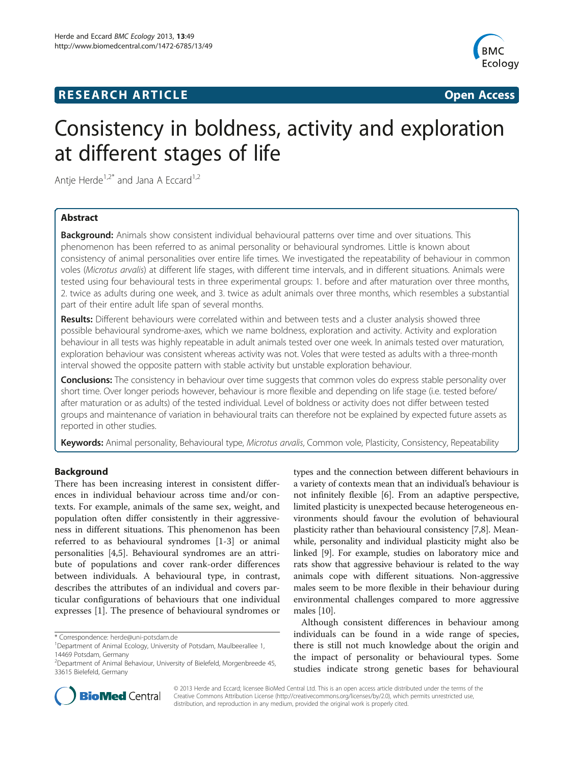## **RESEARCH ARTICLE Example 2008 12 Open Access**



## Consistency in boldness, activity and exploration at different stages of life

Antje Herde<sup>1,2\*</sup> and Jana A Eccard<sup>1,2</sup>

## Abstract

**Background:** Animals show consistent individual behavioural patterns over time and over situations. This phenomenon has been referred to as animal personality or behavioural syndromes. Little is known about consistency of animal personalities over entire life times. We investigated the repeatability of behaviour in common voles (Microtus arvalis) at different life stages, with different time intervals, and in different situations. Animals were tested using four behavioural tests in three experimental groups: 1. before and after maturation over three months, 2. twice as adults during one week, and 3. twice as adult animals over three months, which resembles a substantial part of their entire adult life span of several months.

Results: Different behaviours were correlated within and between tests and a cluster analysis showed three possible behavioural syndrome-axes, which we name boldness, exploration and activity. Activity and exploration behaviour in all tests was highly repeatable in adult animals tested over one week. In animals tested over maturation, exploration behaviour was consistent whereas activity was not. Voles that were tested as adults with a three-month interval showed the opposite pattern with stable activity but unstable exploration behaviour.

Conclusions: The consistency in behaviour over time suggests that common voles do express stable personality over short time. Over longer periods however, behaviour is more flexible and depending on life stage (i.e. tested before/ after maturation or as adults) of the tested individual. Level of boldness or activity does not differ between tested groups and maintenance of variation in behavioural traits can therefore not be explained by expected future assets as reported in other studies.

Keywords: Animal personality, Behavioural type, Microtus arvalis, Common vole, Plasticity, Consistency, Repeatability

## Background

There has been increasing interest in consistent differences in individual behaviour across time and/or contexts. For example, animals of the same sex, weight, and population often differ consistently in their aggressiveness in different situations. This phenomenon has been referred to as behavioural syndromes [[1-3](#page-10-0)] or animal personalities [\[4](#page-10-0),[5](#page-10-0)]. Behavioural syndromes are an attribute of populations and cover rank-order differences between individuals. A behavioural type, in contrast, describes the attributes of an individual and covers particular configurations of behaviours that one individual expresses [\[1](#page-10-0)]. The presence of behavioural syndromes or

\* Correspondence: [herde@uni-potsdam.de](mailto:herde@uni-potsdam.de) <sup>1</sup>

types and the connection between different behaviours in a variety of contexts mean that an individual's behaviour is not infinitely flexible [[6](#page-10-0)]. From an adaptive perspective, limited plasticity is unexpected because heterogeneous environments should favour the evolution of behavioural plasticity rather than behavioural consistency [\[7,8](#page-10-0)]. Meanwhile, personality and individual plasticity might also be linked [[9](#page-10-0)]. For example, studies on laboratory mice and rats show that aggressive behaviour is related to the way animals cope with different situations. Non-aggressive males seem to be more flexible in their behaviour during environmental challenges compared to more aggressive males [\[10\]](#page-10-0).

Although consistent differences in behaviour among individuals can be found in a wide range of species, there is still not much knowledge about the origin and the impact of personality or behavioural types. Some studies indicate strong genetic bases for behavioural



© 2013 Herde and Eccard; licensee BioMed Central Ltd. This is an open access article distributed under the terms of the Creative Commons Attribution License (<http://creativecommons.org/licenses/by/2.0>), which permits unrestricted use, distribution, and reproduction in any medium, provided the original work is properly cited.

<sup>&</sup>lt;sup>1</sup>Department of Animal Ecology, University of Potsdam, Maulbeerallee 1, 14469 Potsdam, Germany

<sup>&</sup>lt;sup>2</sup>Department of Animal Behaviour, University of Bielefeld, Morgenbreede 45, 33615 Bielefeld, Germany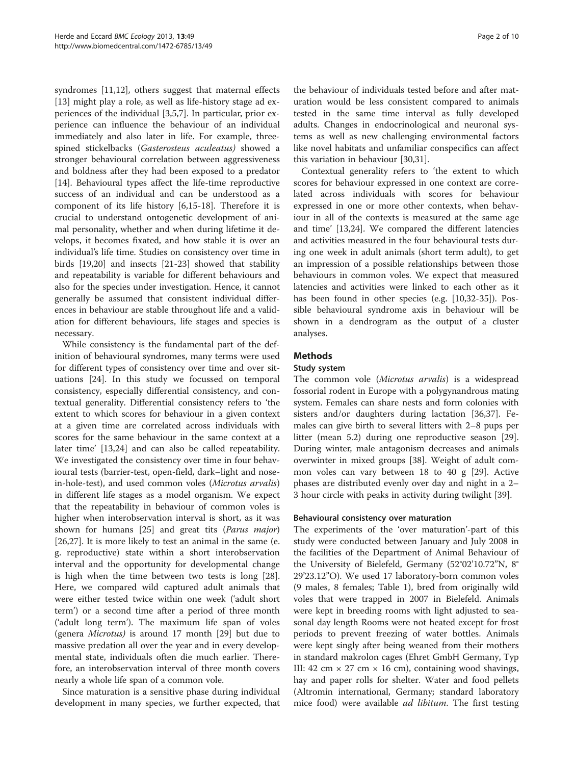syndromes [\[11,12\]](#page-10-0), others suggest that maternal effects [[13\]](#page-10-0) might play a role, as well as life-history stage ad experiences of the individual [\[3](#page-10-0),[5](#page-10-0),[7](#page-10-0)]. In particular, prior experience can influence the behaviour of an individual immediately and also later in life. For example, threespined stickelbacks (Gasterosteus aculeatus) showed a stronger behavioural correlation between aggressiveness and boldness after they had been exposed to a predator [[14\]](#page-10-0). Behavioural types affect the life-time reproductive success of an individual and can be understood as a component of its life history [\[6,15](#page-10-0)-[18](#page-10-0)]. Therefore it is crucial to understand ontogenetic development of animal personality, whether and when during lifetime it develops, it becomes fixated, and how stable it is over an individual's life time. Studies on consistency over time in birds [\[19,20\]](#page-10-0) and insects [[21-23\]](#page-10-0) showed that stability and repeatability is variable for different behaviours and also for the species under investigation. Hence, it cannot generally be assumed that consistent individual differences in behaviour are stable throughout life and a validation for different behaviours, life stages and species is necessary.

While consistency is the fundamental part of the definition of behavioural syndromes, many terms were used for different types of consistency over time and over situations [\[24](#page-10-0)]. In this study we focussed on temporal consistency, especially differential consistency, and contextual generality. Differential consistency refers to 'the extent to which scores for behaviour in a given context at a given time are correlated across individuals with scores for the same behaviour in the same context at a later time' [[13](#page-10-0),[24](#page-10-0)] and can also be called repeatability. We investigated the consistency over time in four behavioural tests (barrier-test, open-field, dark–light and nosein-hole-test), and used common voles (Microtus arvalis) in different life stages as a model organism. We expect that the repeatability in behaviour of common voles is higher when interobservation interval is short, as it was shown for humans [\[25](#page-10-0)] and great tits (Parus major) [[26,27\]](#page-10-0). It is more likely to test an animal in the same (e. g. reproductive) state within a short interobservation interval and the opportunity for developmental change is high when the time between two tests is long [\[28](#page-10-0)]. Here, we compared wild captured adult animals that were either tested twice within one week ('adult short term') or a second time after a period of three month ('adult long term'). The maximum life span of voles (genera Microtus) is around 17 month [[29](#page-10-0)] but due to massive predation all over the year and in every developmental state, individuals often die much earlier. Therefore, an interobservation interval of three month covers nearly a whole life span of a common vole.

Since maturation is a sensitive phase during individual development in many species, we further expected, that

the behaviour of individuals tested before and after maturation would be less consistent compared to animals tested in the same time interval as fully developed adults. Changes in endocrinological and neuronal systems as well as new challenging environmental factors like novel habitats and unfamiliar conspecifics can affect this variation in behaviour [[30](#page-10-0),[31](#page-10-0)].

Contextual generality refers to 'the extent to which scores for behaviour expressed in one context are correlated across individuals with scores for behaviour expressed in one or more other contexts, when behaviour in all of the contexts is measured at the same age and time' [[13,24\]](#page-10-0). We compared the different latencies and activities measured in the four behavioural tests during one week in adult animals (short term adult), to get an impression of a possible relationships between those behaviours in common voles. We expect that measured latencies and activities were linked to each other as it has been found in other species (e.g. [\[10,32-35](#page-10-0)]). Possible behavioural syndrome axis in behaviour will be shown in a dendrogram as the output of a cluster analyses.

## Methods

## Study system

The common vole (Microtus arvalis) is a widespread fossorial rodent in Europe with a polygynandrous mating system. Females can share nests and form colonies with sisters and/or daughters during lactation [\[36,37](#page-10-0)]. Females can give birth to several litters with 2–8 pups per litter (mean 5.2) during one reproductive season [\[29](#page-10-0)]. During winter, male antagonism decreases and animals overwinter in mixed groups [\[38\]](#page-10-0). Weight of adult common voles can vary between 18 to 40 g [\[29](#page-10-0)]. Active phases are distributed evenly over day and night in a 2– 3 hour circle with peaks in activity during twilight [\[39](#page-11-0)].

## Behavioural consistency over maturation

The experiments of the 'over maturation'-part of this study were conducted between January and July 2008 in the facilities of the Department of Animal Behaviour of the University of Bielefeld, Germany (52°02'10.72"N, 8° 29'23.12"O). We used 17 laboratory-born common voles (9 males, 8 females; Table [1\)](#page-4-0), bred from originally wild voles that were trapped in 2007 in Bielefeld. Animals were kept in breeding rooms with light adjusted to seasonal day length Rooms were not heated except for frost periods to prevent freezing of water bottles. Animals were kept singly after being weaned from their mothers in standard makrolon cages (Ehret GmbH Germany, Typ III: 42 cm  $\times$  27 cm  $\times$  16 cm), containing wood shavings, hay and paper rolls for shelter. Water and food pellets (Altromin international, Germany; standard laboratory mice food) were available *ad libitum*. The first testing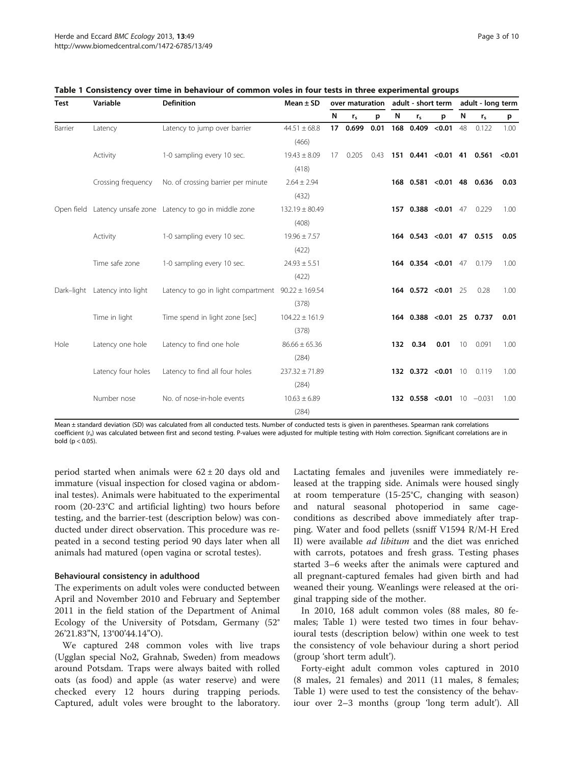| Test    | Variable                      | <b>Definition</b>                                           | Mean $\pm$ SD      |                 |                |      |   |                               |      | over maturation adult - short term adult - long term |                                  |        |
|---------|-------------------------------|-------------------------------------------------------------|--------------------|-----------------|----------------|------|---|-------------------------------|------|------------------------------------------------------|----------------------------------|--------|
|         |                               |                                                             |                    | N               | r <sub>s</sub> | p    | N | $r_{s}$                       | p    | N                                                    | r <sub>s</sub>                   | p      |
| Barrier | Latency                       | Latency to jump over barrier                                | $44.51 \pm 68.8$   | 17 <sup>2</sup> | 0.699          | 0.01 |   | 168 0.409 < 0.01 48           |      |                                                      | 0.122                            | 1.00   |
|         |                               |                                                             | (466)              |                 |                |      |   |                               |      |                                                      |                                  |        |
|         | Activity                      | 1-0 sampling every 10 sec.                                  | $19.43 \pm 8.09$   |                 | 17 0.205       |      |   |                               |      |                                                      | $0.43$ 151 0.441 < 0.01 41 0.561 | < 0.01 |
|         |                               |                                                             | (418)              |                 |                |      |   |                               |      |                                                      |                                  |        |
|         | Crossing frequency            | No. of crossing barrier per minute                          | $2.64 \pm 2.94$    |                 |                |      |   | 168  0.581  < 0.01  48  0.636 |      |                                                      |                                  | 0.03   |
|         |                               |                                                             | (432)              |                 |                |      |   |                               |      |                                                      |                                  |        |
|         |                               | Open field Latency unsafe zone Latency to go in middle zone | $132.19 \pm 80.49$ |                 |                |      |   | 157 0.388 < 0.01 47           |      |                                                      | 0.229                            | 1.00   |
|         |                               |                                                             | (408)              |                 |                |      |   |                               |      |                                                      |                                  |        |
|         | Activity                      | 1-0 sampling every 10 sec.                                  | $19.96 \pm 7.57$   |                 |                |      |   | 164 0.543 < 0.01 47 0.515     |      |                                                      |                                  | 0.05   |
|         |                               |                                                             | (422)              |                 |                |      |   |                               |      |                                                      |                                  |        |
|         | Time safe zone                | 1-0 sampling every 10 sec.                                  | $24.93 \pm 5.51$   |                 |                |      |   | 164 $0.354$ < 0.01 47         |      |                                                      | 0.179                            | 1.00   |
|         |                               |                                                             | (422)              |                 |                |      |   |                               |      |                                                      |                                  |        |
|         | Dark-light Latency into light | Latency to go in light compartment $90.22 \pm 169.54$       |                    |                 |                |      |   | 164 0.572 < 0.01 25           |      |                                                      | 0.28                             | 1.00   |
|         |                               |                                                             | (378)              |                 |                |      |   |                               |      |                                                      |                                  |        |
|         | Time in light                 | Time spend in light zone [sec]                              | $104.22 \pm 161.9$ |                 |                |      |   | 164 0.388 < 0.01 25 0.737     |      |                                                      |                                  | 0.01   |
|         |                               |                                                             | (378)              |                 |                |      |   |                               |      |                                                      |                                  |        |
| Hole    | Latency one hole              | Latency to find one hole                                    | $86.66 \pm 65.36$  |                 |                |      |   | 132 0.34                      | 0.01 | 10 <sup>°</sup>                                      | 0.091                            | 1.00   |
|         |                               |                                                             | (284)              |                 |                |      |   |                               |      |                                                      |                                  |        |
|         | Latency four holes            | Latency to find all four holes                              | $237.32 \pm 71.89$ |                 |                |      |   | 132 $0.372$ < $0.01$ 10       |      |                                                      | 0.119                            | 1.00   |
|         |                               |                                                             | (284)              |                 |                |      |   |                               |      |                                                      |                                  |        |
|         | Number nose                   | No. of nose-in-hole events                                  | $10.63 \pm 6.89$   |                 |                |      |   | 132 0.558 < 0.01 10 $-0.031$  |      |                                                      |                                  | 1.00   |
|         |                               |                                                             | (284)              |                 |                |      |   |                               |      |                                                      |                                  |        |

<span id="page-4-0"></span>

| Table 1 Consistency over time in behaviour of common voles in four tests in three experimental groups |  |  |
|-------------------------------------------------------------------------------------------------------|--|--|
|-------------------------------------------------------------------------------------------------------|--|--|

Mean ± standard deviation (SD) was calculated from all conducted tests. Number of conducted tests is given in parentheses. Spearman rank correlations coefficient (r<sub>s</sub>) was calculated between first and second testing. P-values were adjusted for multiple testing with Holm correction. Significant correlations are in bold ( $p < 0.05$ ).

period started when animals were  $62 \pm 20$  days old and immature (visual inspection for closed vagina or abdominal testes). Animals were habituated to the experimental room (20-23°C and artificial lighting) two hours before testing, and the barrier-test (description below) was conducted under direct observation. This procedure was repeated in a second testing period 90 days later when all animals had matured (open vagina or scrotal testes).

#### Behavioural consistency in adulthood

The experiments on adult voles were conducted between April and November 2010 and February and September 2011 in the field station of the Department of Animal Ecology of the University of Potsdam, Germany (52° 26'21.83"N, 13°00'44.14"O).

We captured 248 common voles with live traps (Ugglan special No2, Grahnab, Sweden) from meadows around Potsdam. Traps were always baited with rolled oats (as food) and apple (as water reserve) and were checked every 12 hours during trapping periods. Captured, adult voles were brought to the laboratory. Lactating females and juveniles were immediately released at the trapping side. Animals were housed singly at room temperature (15-25°C, changing with season) and natural seasonal photoperiod in same cageconditions as described above immediately after trapping. Water and food pellets (ssniff V1594 R/M-H Ered II) were available ad libitum and the diet was enriched with carrots, potatoes and fresh grass. Testing phases started 3–6 weeks after the animals were captured and all pregnant-captured females had given birth and had weaned their young. Weanlings were released at the original trapping side of the mother.

In 2010, 168 adult common voles (88 males, 80 females; Table 1) were tested two times in four behavioural tests (description below) within one week to test the consistency of vole behaviour during a short period (group 'short term adult').

Forty-eight adult common voles captured in 2010 (8 males, 21 females) and 2011 (11 males, 8 females; Table 1) were used to test the consistency of the behaviour over 2–3 months (group 'long term adult'). All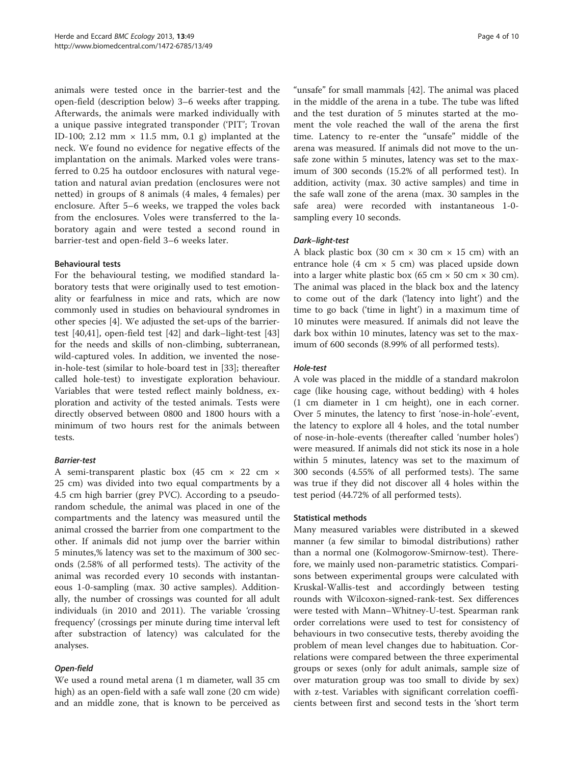animals were tested once in the barrier-test and the open-field (description below) 3–6 weeks after trapping. Afterwards, the animals were marked individually with a unique passive integrated transponder ('PIT'; Trovan ID-100; 2.12 mm  $\times$  11.5 mm, 0.1 g) implanted at the neck. We found no evidence for negative effects of the implantation on the animals. Marked voles were transferred to 0.25 ha outdoor enclosures with natural vegetation and natural avian predation (enclosures were not netted) in groups of 8 animals (4 males, 4 females) per enclosure. After 5–6 weeks, we trapped the voles back from the enclosures. Voles were transferred to the laboratory again and were tested a second round in barrier-test and open-field 3–6 weeks later.

#### Behavioural tests

For the behavioural testing, we modified standard laboratory tests that were originally used to test emotionality or fearfulness in mice and rats, which are now commonly used in studies on behavioural syndromes in other species [\[4](#page-10-0)]. We adjusted the set-ups of the barriertest [[40,41\]](#page-11-0), open-field test [\[42\]](#page-11-0) and dark–light-test [[43](#page-11-0)] for the needs and skills of non-climbing, subterranean, wild-captured voles. In addition, we invented the nosein-hole-test (similar to hole-board test in [[33](#page-10-0)]; thereafter called hole-test) to investigate exploration behaviour. Variables that were tested reflect mainly boldness, exploration and activity of the tested animals. Tests were directly observed between 0800 and 1800 hours with a minimum of two hours rest for the animals between tests.

#### Barrier-test

A semi-transparent plastic box (45 cm × 22 cm × 25 cm) was divided into two equal compartments by a 4.5 cm high barrier (grey PVC). According to a pseudorandom schedule, the animal was placed in one of the compartments and the latency was measured until the animal crossed the barrier from one compartment to the other. If animals did not jump over the barrier within 5 minutes,% latency was set to the maximum of 300 seconds (2.58% of all performed tests). The activity of the animal was recorded every 10 seconds with instantaneous 1-0-sampling (max. 30 active samples). Additionally, the number of crossings was counted for all adult individuals (in 2010 and 2011). The variable 'crossing frequency' (crossings per minute during time interval left after substraction of latency) was calculated for the analyses.

## Open-field

We used a round metal arena (1 m diameter, wall 35 cm high) as an open-field with a safe wall zone (20 cm wide) and an middle zone, that is known to be perceived as

"unsafe" for small mammals [\[42](#page-11-0)]. The animal was placed in the middle of the arena in a tube. The tube was lifted and the test duration of 5 minutes started at the moment the vole reached the wall of the arena the first time. Latency to re-enter the "unsafe" middle of the arena was measured. If animals did not move to the unsafe zone within 5 minutes, latency was set to the maximum of 300 seconds (15.2% of all performed test). In addition, activity (max. 30 active samples) and time in the safe wall zone of the arena (max. 30 samples in the safe area) were recorded with instantaneous 1-0 sampling every 10 seconds.

## Dark–light-test

A black plastic box (30 cm  $\times$  30 cm  $\times$  15 cm) with an entrance hole (4 cm  $\times$  5 cm) was placed upside down into a larger white plastic box (65 cm  $\times$  50 cm  $\times$  30 cm). The animal was placed in the black box and the latency to come out of the dark ('latency into light') and the time to go back ('time in light') in a maximum time of 10 minutes were measured. If animals did not leave the dark box within 10 minutes, latency was set to the maximum of 600 seconds (8.99% of all performed tests).

#### Hole-test

A vole was placed in the middle of a standard makrolon cage (like housing cage, without bedding) with 4 holes (1 cm diameter in 1 cm height), one in each corner. Over 5 minutes, the latency to first 'nose-in-hole'-event, the latency to explore all 4 holes, and the total number of nose-in-hole-events (thereafter called 'number holes') were measured. If animals did not stick its nose in a hole within 5 minutes, latency was set to the maximum of 300 seconds (4.55% of all performed tests). The same was true if they did not discover all 4 holes within the test period (44.72% of all performed tests).

#### Statistical methods

Many measured variables were distributed in a skewed manner (a few similar to bimodal distributions) rather than a normal one (Kolmogorow-Smirnow-test). Therefore, we mainly used non-parametric statistics. Comparisons between experimental groups were calculated with Kruskal-Wallis-test and accordingly between testing rounds with Wilcoxon-signed-rank-test. Sex differences were tested with Mann–Whitney-U-test. Spearman rank order correlations were used to test for consistency of behaviours in two consecutive tests, thereby avoiding the problem of mean level changes due to habituation. Correlations were compared between the three experimental groups or sexes (only for adult animals, sample size of over maturation group was too small to divide by sex) with z-test. Variables with significant correlation coefficients between first and second tests in the 'short term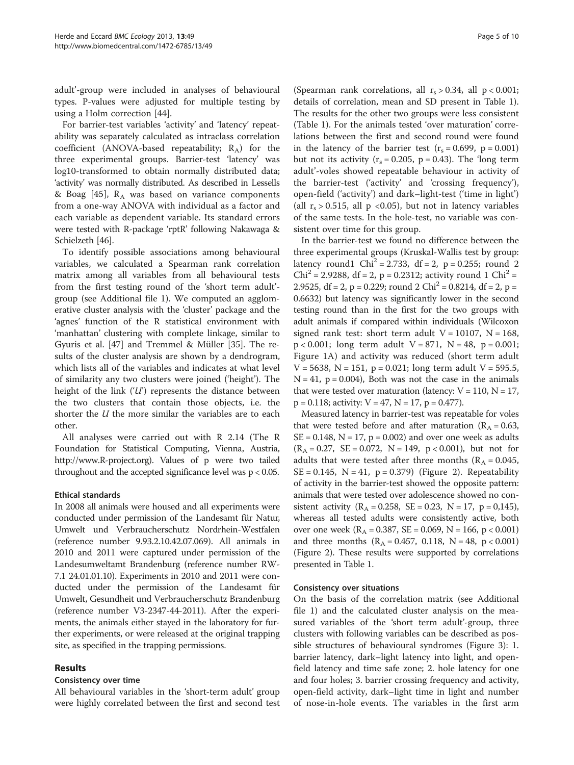adult'-group were included in analyses of behavioural types. P-values were adjusted for multiple testing by using a Holm correction [\[44](#page-11-0)].

For barrier-test variables 'activity' and 'latency' repeatability was separately calculated as intraclass correlation coefficient (ANOVA-based repeatability;  $R_A$ ) for the three experimental groups. Barrier-test 'latency' was log10-transformed to obtain normally distributed data; 'activity' was normally distributed. As described in Lessells & Boag  $[45]$  $[45]$ ,  $R_A$  was based on variance components from a one-way ANOVA with individual as a factor and each variable as dependent variable. Its standard errors were tested with R-package 'rptR' following Nakawaga & Schielzeth [\[46\]](#page-11-0).

To identify possible associations among behavioural variables, we calculated a Spearman rank correlation matrix among all variables from all behavioural tests from the first testing round of the 'short term adult' group (see Additional file [1\)](#page-10-0). We computed an agglomerative cluster analysis with the 'cluster' package and the 'agnes' function of the R statistical environment with 'manhattan' clustering with complete linkage, similar to Gyuris et al. [[47](#page-11-0)] and Tremmel & Müller [[35](#page-10-0)]. The results of the cluster analysis are shown by a dendrogram, which lists all of the variables and indicates at what level of similarity any two clusters were joined ('height'). The height of the link  $(T)$  represents the distance between the two clusters that contain those objects, i.e. the shorter the *U* the more similar the variables are to each other.

All analyses were carried out with R 2.14 (The R Foundation for Statistical Computing, Vienna, Austria, [http://www.R-project.org\)](http://www.R-project.org). Values of p were two tailed throughout and the accepted significance level was p < 0.05.

## Ethical standards

In 2008 all animals were housed and all experiments were conducted under permission of the Landesamt für Natur, Umwelt und Verbraucherschutz Nordrhein-Westfalen (reference number 9.93.2.10.42.07.069). All animals in 2010 and 2011 were captured under permission of the Landesumweltamt Brandenburg (reference number RW-7.1 24.01.01.10). Experiments in 2010 and 2011 were conducted under the permission of the Landesamt für Umwelt, Gesundheit und Verbraucherschutz Brandenburg (reference number V3-2347-44-2011). After the experiments, the animals either stayed in the laboratory for further experiments, or were released at the original trapping site, as specified in the trapping permissions.

## Results

## Consistency over time

All behavioural variables in the 'short-term adult' group were highly correlated between the first and second test

(Spearman rank correlations, all  $r_s > 0.34$ , all  $p < 0.001$ ; details of correlation, mean and SD present in Table [1](#page-4-0)). The results for the other two groups were less consistent (Table [1](#page-4-0)). For the animals tested 'over maturation' correlations between the first and second round were found in the latency of the barrier test  $(r_s = 0.699, p = 0.001)$ but not its activity  $(r_s = 0.205, p = 0.43)$ . The 'long term adult'-voles showed repeatable behaviour in activity of the barrier-test ('activity' and 'crossing frequency'), open-field ('activity') and dark–light-test ('time in light') (all  $r_s > 0.515$ , all p <0.05), but not in latency variables of the same tests. In the hole-test, no variable was consistent over time for this group.

In the barrier-test we found no difference between the three experimental groups (Kruskal-Wallis test by group: latency round1 Chi<sup>2</sup> = 2.733, df = 2, p = 0.255; round 2  $Chi^2 = 2.9288$ , df = 2, p = 0.2312; activity round 1 Chi<sup>2</sup> = 2.9525, df = 2, p = 0.229; round 2 Chi<sup>2</sup> = 0.8214, df = 2, p = 0.6632) but latency was significantly lower in the second testing round than in the first for the two groups with adult animals if compared within individuals (Wilcoxon signed rank test: short term adult  $V = 10107$ ,  $N = 168$ ,  $p < 0.001$ ; long term adult  $V = 871$ ,  $N = 48$ ,  $p = 0.001$ ; Figure [1](#page-7-0)A) and activity was reduced (short term adult  $V = 5638$ ,  $N = 151$ ,  $p = 0.021$ ; long term adult  $V = 595.5$ ,  $N = 41$ ,  $p = 0.004$ ), Both was not the case in the animals that were tested over maturation (latency:  $V = 110$ ,  $N = 17$ ,  $p = 0.118$ ; activity:  $V = 47$ ,  $N = 17$ ,  $p = 0.477$ ).

Measured latency in barrier-test was repeatable for voles that were tested before and after maturation ( $R_A = 0.63$ ,  $SE = 0.148$ ,  $N = 17$ ,  $p = 0.002$ ) and over one week as adults  $(R_A = 0.27, SE = 0.072, N = 149, p < 0.001)$ , but not for adults that were tested after three months ( $R_A = 0.045$ ,  $SE = 0.145$ ,  $N = 41$ ,  $p = 0.379$  (Figure [2\)](#page-7-0). Repeatability of activity in the barrier-test showed the opposite pattern: animals that were tested over adolescence showed no consistent activity  $(R_A = 0.258, SE = 0.23, N = 17, p = 0.145)$ , whereas all tested adults were consistently active, both over one week ( $R_A = 0.387$ , SE = 0.069, N = 166, p < 0.001) and three months  $(R_A = 0.457, 0.118, N = 48, p < 0.001)$ (Figure [2](#page-7-0)). These results were supported by correlations presented in Table [1.](#page-4-0)

## Consistency over situations

On the basis of the correlation matrix (see Additional file [1\)](#page-10-0) and the calculated cluster analysis on the measured variables of the 'short term adult'-group, three clusters with following variables can be described as possible structures of behavioural syndromes (Figure [3](#page-8-0)): 1. barrier latency, dark–light latency into light, and openfield latency and time safe zone; 2. hole latency for one and four holes; 3. barrier crossing frequency and activity, open-field activity, dark–light time in light and number of nose-in-hole events. The variables in the first arm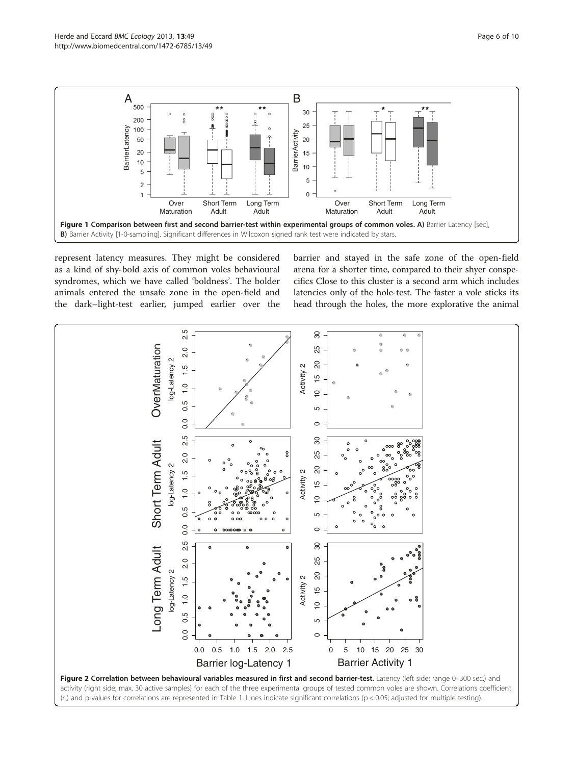1

<span id="page-7-0"></span>

 $\Omega$ 



represent latency measures. They might be considered as a kind of shy-bold axis of common voles behavioural syndromes, which we have called 'boldness'. The bolder animals entered the unsafe zone in the open-field and the dark–light-test earlier, jumped earlier over the

barrier and stayed in the safe zone of the open-field arena for a shorter time, compared to their shyer conspecifics Close to this cluster is a second arm which includes latencies only of the hole-test. The faster a vole sticks its head through the holes, the more explorative the animal

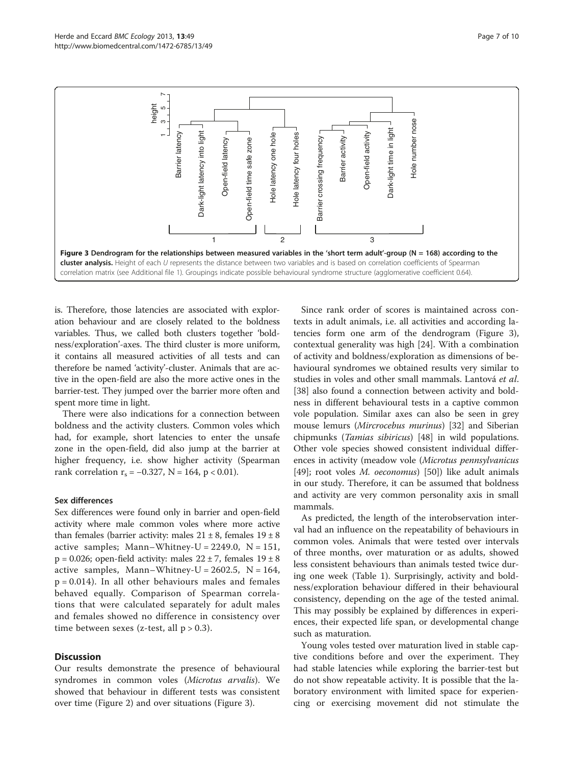<span id="page-8-0"></span>

is. Therefore, those latencies are associated with exploration behaviour and are closely related to the boldness variables. Thus, we called both clusters together 'boldness/exploration'-axes. The third cluster is more uniform, it contains all measured activities of all tests and can therefore be named 'activity'-cluster. Animals that are active in the open-field are also the more active ones in the barrier-test. They jumped over the barrier more often and spent more time in light.

There were also indications for a connection between boldness and the activity clusters. Common voles which had, for example, short latencies to enter the unsafe zone in the open-field, did also jump at the barrier at higher frequency, i.e. show higher activity (Spearman rank correlation  $r_s = -0.327$ , N = 164, p < 0.01).

#### Sex differences

Sex differences were found only in barrier and open-field activity where male common voles where more active than females (barrier activity: males  $21 \pm 8$ , females  $19 \pm 8$ active samples; Mann–Whitney-U =  $2249.0$ , N =  $151$ , p = 0.026; open-field activity: males  $22 \pm 7$ , females  $19 \pm 8$ active samples, Mann–Whitney-U =  $2602.5$ , N =  $164$ ,  $p = 0.014$ ). In all other behaviours males and females behaved equally. Comparison of Spearman correlations that were calculated separately for adult males and females showed no difference in consistency over time between sexes (z-test, all  $p > 0.3$ ).

## **Discussion**

Our results demonstrate the presence of behavioural syndromes in common voles (Microtus arvalis). We showed that behaviour in different tests was consistent over time (Figure [2](#page-7-0)) and over situations (Figure 3).

Since rank order of scores is maintained across contexts in adult animals, i.e. all activities and according latencies form one arm of the dendrogram (Figure 3), contextual generality was high [[24](#page-10-0)]. With a combination of activity and boldness/exploration as dimensions of behavioural syndromes we obtained results very similar to studies in voles and other small mammals. Lantová et al. [[38\]](#page-10-0) also found a connection between activity and boldness in different behavioural tests in a captive common vole population. Similar axes can also be seen in grey mouse lemurs (Mircrocebus murinus) [\[32\]](#page-10-0) and Siberian chipmunks (Tamias sibiricus) [[48\]](#page-11-0) in wild populations. Other vole species showed consistent individual differences in activity (meadow vole (Microtus pennsylvanicus [[49\]](#page-11-0); root voles M. oeconomus) [\[50](#page-11-0)]) like adult animals in our study. Therefore, it can be assumed that boldness and activity are very common personality axis in small mammals.

As predicted, the length of the interobservation interval had an influence on the repeatability of behaviours in common voles. Animals that were tested over intervals of three months, over maturation or as adults, showed less consistent behaviours than animals tested twice during one week (Table [1\)](#page-4-0). Surprisingly, activity and boldness/exploration behaviour differed in their behavioural consistency, depending on the age of the tested animal. This may possibly be explained by differences in experiences, their expected life span, or developmental change such as maturation.

Young voles tested over maturation lived in stable captive conditions before and over the experiment. They had stable latencies while exploring the barrier-test but do not show repeatable activity. It is possible that the laboratory environment with limited space for experiencing or exercising movement did not stimulate the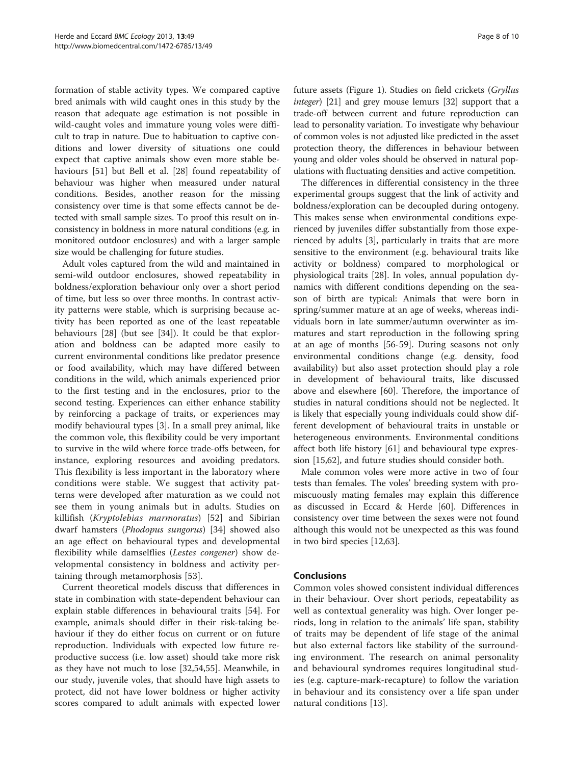formation of stable activity types. We compared captive bred animals with wild caught ones in this study by the reason that adequate age estimation is not possible in wild-caught voles and immature young voles were difficult to trap in nature. Due to habituation to captive conditions and lower diversity of situations one could expect that captive animals show even more stable behaviours [[51\]](#page-11-0) but Bell et al. [\[28](#page-10-0)] found repeatability of behaviour was higher when measured under natural conditions. Besides, another reason for the missing consistency over time is that some effects cannot be detected with small sample sizes. To proof this result on inconsistency in boldness in more natural conditions (e.g. in monitored outdoor enclosures) and with a larger sample size would be challenging for future studies.

Adult voles captured from the wild and maintained in semi-wild outdoor enclosures, showed repeatability in boldness/exploration behaviour only over a short period of time, but less so over three months. In contrast activity patterns were stable, which is surprising because activity has been reported as one of the least repeatable behaviours [\[28](#page-10-0)] (but see [[34\]](#page-10-0)). It could be that exploration and boldness can be adapted more easily to current environmental conditions like predator presence or food availability, which may have differed between conditions in the wild, which animals experienced prior to the first testing and in the enclosures, prior to the second testing. Experiences can either enhance stability by reinforcing a package of traits, or experiences may modify behavioural types [[3](#page-10-0)]. In a small prey animal, like the common vole, this flexibility could be very important to survive in the wild where force trade-offs between, for instance, exploring resources and avoiding predators. This flexibility is less important in the laboratory where conditions were stable. We suggest that activity patterns were developed after maturation as we could not see them in young animals but in adults. Studies on killifish (Kryptolebias marmoratus) [\[52](#page-11-0)] and Sibirian dwarf hamsters (Phodopus sungorus) [\[34](#page-10-0)] showed also an age effect on behavioural types and developmental flexibility while damselflies (Lestes congener) show developmental consistency in boldness and activity pertaining through metamorphosis [[53\]](#page-11-0).

Current theoretical models discuss that differences in state in combination with state-dependent behaviour can explain stable differences in behavioural traits [\[54](#page-11-0)]. For example, animals should differ in their risk-taking behaviour if they do either focus on current or on future reproduction. Individuals with expected low future reproductive success (i.e. low asset) should take more risk as they have not much to lose [\[32](#page-10-0)[,54,55](#page-11-0)]. Meanwhile, in our study, juvenile voles, that should have high assets to protect, did not have lower boldness or higher activity scores compared to adult animals with expected lower

future assets (Figure [1](#page-7-0)). Studies on field crickets (Gryllus integer) [[21](#page-10-0)] and grey mouse lemurs [[32](#page-10-0)] support that a trade-off between current and future reproduction can lead to personality variation. To investigate why behaviour of common voles is not adjusted like predicted in the asset protection theory, the differences in behaviour between young and older voles should be observed in natural populations with fluctuating densities and active competition.

The differences in differential consistency in the three experimental groups suggest that the link of activity and boldness/exploration can be decoupled during ontogeny. This makes sense when environmental conditions experienced by juveniles differ substantially from those experienced by adults [\[3](#page-10-0)], particularly in traits that are more sensitive to the environment (e.g. behavioural traits like activity or boldness) compared to morphological or physiological traits [[28\]](#page-10-0). In voles, annual population dynamics with different conditions depending on the season of birth are typical: Animals that were born in spring/summer mature at an age of weeks, whereas individuals born in late summer/autumn overwinter as immatures and start reproduction in the following spring at an age of months [[56-59\]](#page-11-0). During seasons not only environmental conditions change (e.g. density, food availability) but also asset protection should play a role in development of behavioural traits, like discussed above and elsewhere [[60\]](#page-11-0). Therefore, the importance of studies in natural conditions should not be neglected. It is likely that especially young individuals could show different development of behavioural traits in unstable or heterogeneous environments. Environmental conditions affect both life history [[61](#page-11-0)] and behavioural type expression [[15,](#page-10-0)[62\]](#page-11-0), and future studies should consider both.

Male common voles were more active in two of four tests than females. The voles' breeding system with promiscuously mating females may explain this difference as discussed in Eccard & Herde [[60\]](#page-11-0). Differences in consistency over time between the sexes were not found although this would not be unexpected as this was found in two bird species [[12,](#page-10-0)[63\]](#page-11-0).

## Conclusions

Common voles showed consistent individual differences in their behaviour. Over short periods, repeatability as well as contextual generality was high. Over longer periods, long in relation to the animals' life span, stability of traits may be dependent of life stage of the animal but also external factors like stability of the surrounding environment. The research on animal personality and behavioural syndromes requires longitudinal studies (e.g. capture-mark-recapture) to follow the variation in behaviour and its consistency over a life span under natural conditions [[13](#page-10-0)].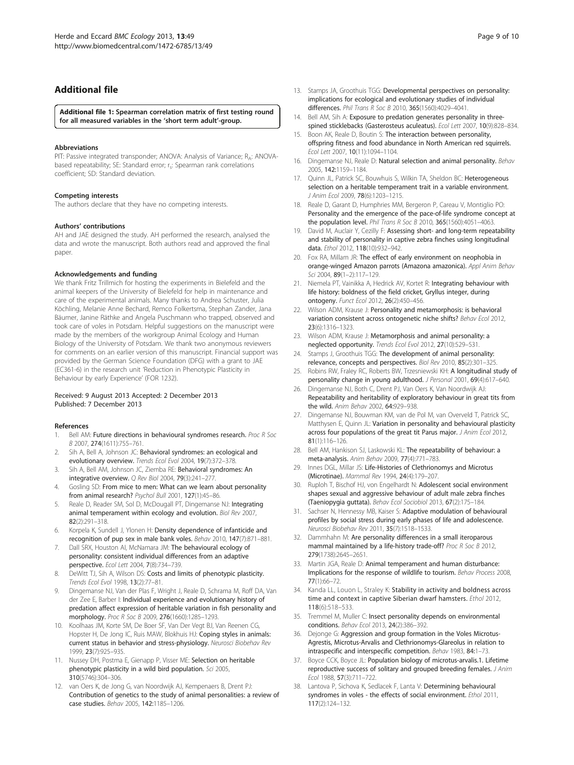## <span id="page-10-0"></span>Additional file

[Additional file 1:](http://www.biomedcentral.com/content/supplementary/1472-6785-13-49-S1.pdf) Spearman correlation matrix of first testing round for all measured variables in the 'short term adult'-group.

#### Abbreviations

PIT: Passive integrated transponder; ANOVA: Analysis of Variance; R<sub>A</sub>: ANOVAbased repeatability; SE: Standard error; r.: Spearman rank correlations coefficient; SD: Standard deviation.

#### Competing interests

The authors declare that they have no competing interests.

#### Authors' contributions

AH and JAE designed the study. AH performed the research, analysed the data and wrote the manuscript. Both authors read and approved the final paper.

#### Acknowledgements and funding

We thank Fritz Trillmich for hosting the experiments in Bielefeld and the animal keepers of the University of Bielefeld for help in maintenance and care of the experimental animals. Many thanks to Andrea Schuster, Julia Köchling, Melanie Anne Bechard, Remco Folkertsma, Stephan Zander, Jana Bäumer, Janine Räthke and Angela Puschmann who trapped, observed and took care of voles in Potsdam. Helpful suggestions on the manuscript were made by the members of the workgroup Animal Ecology and Human Biology of the University of Potsdam. We thank two anonymous reviewers for comments on an earlier version of this manuscript. Financial support was provided by the German Science Foundation (DFG) with a grant to JAE (EC361-6) in the research unit 'Reduction in Phenotypic Plasticity in Behaviour by early Experience' (FOR 1232).

#### Received: 9 August 2013 Accepted: 2 December 2013 Published: 7 December 2013

#### References

- 1. Bell AM: Future directions in behavioural syndromes research. Proc R Soc B 2007, 274(1611):755–761.
- 2. Sih A, Bell A, Johnson JC: Behavioral syndromes: an ecological and evolutionary overview. Trends Ecol Evol 2004, 19(7):372–378.
- 3. Sih A, Bell AM, Johnson JC, Ziemba RE: Behavioral syndromes: An integrative overview. Q Rev Biol 2004, 79(3):241–277.
- 4. Gosling SD: From mice to men: What can we learn about personality from animal research? Psychol Bull 2001, 127(1):45-86.
- Reale D, Reader SM, Sol D, McDougall PT, Dingemanse NJ: Integrating animal temperament within ecology and evolution. Biol Rev 2007, 82(2):291–318.
- 6. Korpela K, Sundell J, Ylonen H: Density dependence of infanticide and recognition of pup sex in male bank voles. Behav 2010, 147(7):871–881.
- 7. Dall SRX, Houston AI, McNamara JM: The behavioural ecology of personality: consistent individual differences from an adaptive perspective. Ecol Lett 2004, 7(8):734–739.
- 8. DeWitt TJ, Sih A, Wilson DS: Costs and limits of phenotypic plasticity. Trends Ecol Evol 1998, 13(2):77–81.
- Dingemanse NJ, Van der Plas F, Wright J, Reale D, Schrama M, Roff DA, Van der Zee E, Barber I: Individual experience and evolutionary history of predation affect expression of heritable variation in fish personality and morphology. Proc R Soc B 2009, 276(1660):1285–1293.
- 10. Koolhaas JM, Korte SM, De Boer SF, Van Der Vegt BJ, Van Reenen CG, Hopster H, De Jong IC, Ruis MAW, Blokhuis HJ: Coping styles in animals: current status in behavior and stress-physiology. Neurosci Biobehav Rev 1999, 23(7):925–935.
- 11. Nussey DH, Postma E, Gienapp P, Visser ME: Selection on heritable phenotypic plasticity in a wild bird population. Sci 2005, 310(5746):304–306.
- 12. van Oers K, de Jong G, van Noordwijk AJ, Kempenaers B, Drent PJ: Contribution of genetics to the study of animal personalities: a review of case studies. Behav 2005, 142:1185–1206.
- 13. Stamps JA, Groothuis TGG: Developmental perspectives on personality: implications for ecological and evolutionary studies of individual differences. Phil Trans R Soc B 2010, 365(1560):4029–4041.
- 14. Bell AM, Sih A: Exposure to predation generates personality in threespined sticklebacks (Gasterosteus aculeatus). Ecol Lett 2007, 10(9):828–834.
- 15. Boon AK, Reale D, Boutin S: The interaction between personality, offspring fitness and food abundance in North American red squirrels. Ecol Lett 2007, 10(11):1094–1104.
- 16. Dingemanse NJ, Reale D: Natural selection and animal personality. Behav 2005, 142:1159–1184.
- 17. Ouinn JL, Patrick SC, Bouwhuis S, Wilkin TA, Sheldon BC: Heterogeneous selection on a heritable temperament trait in a variable environment. J Anim Ecol 2009, 78(6):1203–1215.
- 18. Reale D, Garant D, Humphries MM, Bergeron P, Careau V, Montiglio PO: Personality and the emergence of the pace-of-life syndrome concept at the population level. *Phil Trans R Soc B* 2010, 365(1560):4051-4063.
- 19. David M, Auclair Y, Cezilly F: Assessing short- and long-term repeatability and stability of personality in captive zebra finches using longitudinal data. Ethol 2012, 118(10):932–942.
- 20. Fox RA, Millam JR: The effect of early environment on neophobia in orange-winged Amazon parrots (Amazona amazonica). Appl Anim Behav Sci 2004, 89(1-2):117-129.
- 21. Niemela PT, Vainikka A, Hedrick AV, Kortet R: Integrating behaviour with life history: boldness of the field cricket, Gryllus integer, during ontogeny. Funct Ecol 2012, 26(2):450–456.
- 22. Wilson ADM, Krause J: Personality and metamorphosis: is behavioral variation consistent across ontogenetic niche shifts? Behav Ecol 2012, 23(6):1316–1323.
- 23. Wilson ADM, Krause J: Metamorphosis and animal personality: a neglected opportunity. Trends Ecol Evol 2012, 27(10):529–531.
- 24. Stamps J, Groothuis TGG: The development of animal personality: relevance, concepts and perspectives. Biol Rev 2010, 85(2):301–325.
- 25. Robins RW, Fraley RC, Roberts BW, Trzesniewski KH: A longitudinal study of personality change in young adulthood. J Personal 2001, 69(4):617–640.
- 26. Dingemanse NJ, Both C, Drent PJ, Van Oers K, Van Noordwijk AJ: Repeatability and heritability of exploratory behaviour in great tits from the wild. Anim Behav 2002, 64:929–938.
- 27. Dingemanse NJ, Bouwman KM, van de Pol M, van Overveld T, Patrick SC, Matthysen E, Quinn JL: Variation in personality and behavioural plasticity across four populations of the great tit Parus major. J Anim Ecol 2012, 81(1):116–126.
- 28. Bell AM, Hankison SJ, Laskowski KL: The repeatability of behaviour: a meta-analysis. Anim Behav 2009, 77(4):771–783.
- 29. Innes DGL, Millar JS: Life-Histories of Clethrionomys and Microtus (Microtinae). Mammal Rev 1994, 24(4):179–207.
- 30. Ruploh T, Bischof HJ, von Engelhardt N: Adolescent social environment shapes sexual and aggressive behaviour of adult male zebra finches (Taeniopygia guttata). Behav Ecol Sociobiol 2013, 67(2):175–184.
- 31. Sachser N, Hennessy MB, Kaiser S: Adaptive modulation of behavioural profiles by social stress during early phases of life and adolescence. Neurosci Biobehav Rev 2011, 35(7):1518–1533.
- 32. Dammhahn M: Are personality differences in a small iteroparous mammal maintained by a life-history trade-off? Proc R Soc B 2012, 279(1738):2645–2651.
- 33. Martin JGA, Reale D: Animal temperament and human disturbance: Implications for the response of wildlife to tourism. Behav Process 2008, 77(1):66–72.
- 34. Kanda LL, Louon L, Straley K: Stability in activity and boldness across time and context in captive Siberian dwarf hamsters. Ethol 2012, 118(6):518–533.
- 35. Tremmel M, Muller C: Insect personality depends on environmental conditions. Behav Ecol 2013, 24(2):386–392.
- 36. Dejonge G: Aggression and group formation in the Voles Microtus-Agrestis, Microtus-Arvalis and Clethrionomys-Glareolus in relation to intraspecific and interspecific competition. Behav 1983, 84:1–73.
- 37. Boyce CCK, Boyce JL: Population biology of microtus-arvalis.1. Lifetime reproductive success of solitary and grouped breeding females. J Anim Ecol 1988, 57(3):711–722.
- 38. Lantova P, Sichova K, Sedlacek F, Lanta V: Determining behavioural syndromes in voles - the effects of social environment. Ethol 2011, 117(2):124–132.